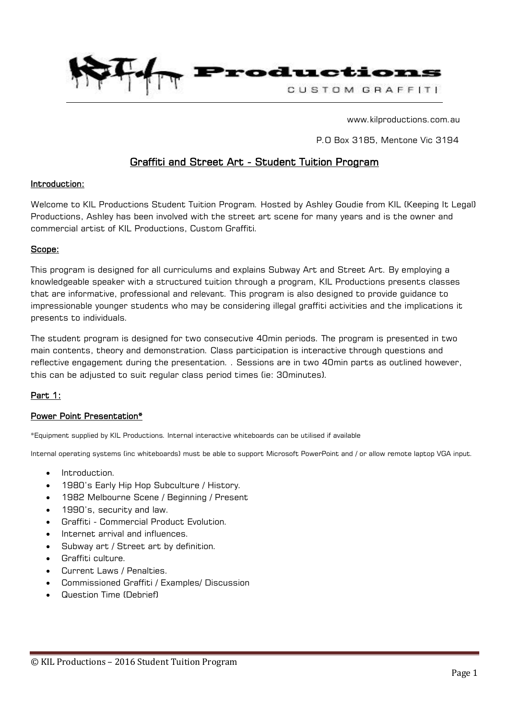

www.kilproductions.com.au

P.O Box 3185, Mentone Vic 3194

# Graffiti and Street Art - Student Tuition Program

## Introduction:

Welcome to KIL Productions Student Tuition Program. Hosted by Ashley Goudie from KIL (Keeping It Legal) Productions, Ashley has been involved with the street art scene for many years and is the owner and commercial artist of KIL Productions, Custom Graffiti.

#### Scope:

This program is designed for all curriculums and explains Subway Art and Street Art. By employing a knowledgeable speaker with a structured tuition through a program, KIL Productions presents classes that are informative, professional and relevant. This program is also designed to provide guidance to impressionable younger students who may be considering illegal graffiti activities and the implications it presents to individuals.

The student program is designed for two consecutive 40min periods. The program is presented in two main contents, theory and demonstration. Class participation is interactive through questions and reflective engagement during the presentation. . Sessions are in two 40min parts as outlined however, this can be adjusted to suit regular class period times (ie: 30minutes).

## Part 1:

## Power Point Presentation\*

\*Equipment supplied by KIL Productions. Internal interactive whiteboards can be utilised if available

Internal operating systems (inc whiteboards) must be able to support Microsoft PowerPoint and / or allow remote laptop VGA input.

- Introduction.
- 1980's Early Hip Hop Subculture / History.
- 1982 Melbourne Scene / Beginning / Present
- 1990's, security and law.
- Graffiti Commercial Product Evolution.
- Internet arrival and influences.
- Subway art / Street art by definition.
- Graffiti culture.
- Current Laws / Penalties.
- Commissioned Graffiti / Examples/ Discussion
- Question Time (Debrief)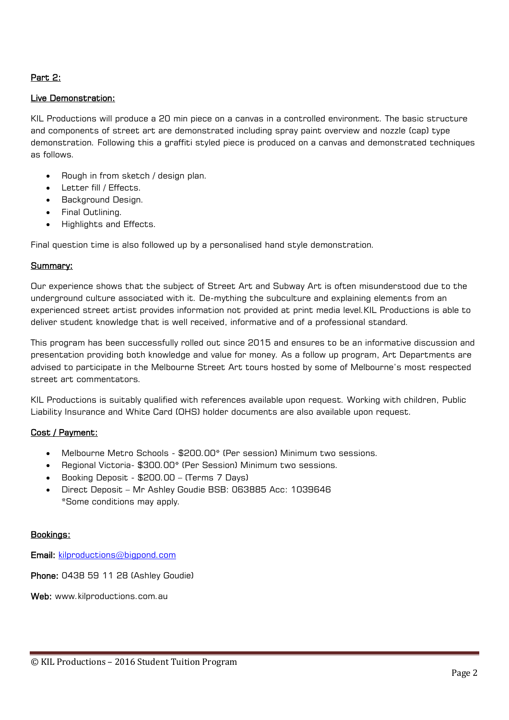## Part 2:

## Live Demonstration:

KIL Productions will produce a 20 min piece on a canvas in a controlled environment. The basic structure and components of street art are demonstrated including spray paint overview and nozzle (cap) type demonstration. Following this a graffiti styled piece is produced on a canvas and demonstrated techniques as follows.

- Rough in from sketch / design plan.
- Letter fill / Effects.
- Background Design.
- Final Outlining.
- Highlights and Effects.

Final question time is also followed up by a personalised hand style demonstration.

## Summary:

Our experience shows that the subject of Street Art and Subway Art is often misunderstood due to the underground culture associated with it. De-mything the subculture and explaining elements from an experienced street artist provides information not provided at print media level.KIL Productions is able to deliver student knowledge that is well received, informative and of a professional standard.

This program has been successfully rolled out since 2015 and ensures to be an informative discussion and presentation providing both knowledge and value for money. As a follow up program, Art Departments are advised to participate in the Melbourne Street Art tours hosted by some of Melbourne's most respected street art commentators.

KIL Productions is suitably qualified with references available upon request. Working with children, Public Liability Insurance and White Card (OHS) holder documents are also available upon request.

## Cost / Payment:

- Melbourne Metro Schools \$200.00\* (Per session) Minimum two sessions.
- Regional Victoria- \$300.00\* (Per Session) Minimum two sessions.
- Booking Deposit \$200.00 (Terms 7 Days)
- Direct Deposit Mr Ashley Goudie BSB: 063885 Acc: 1039646 \*Some conditions may apply.

## Bookings:

Email: [kilproductions@bigpond.com](mailto:kilproductions@bigpond.com)

Phone: 0438 59 11 28 (Ashley Goudie)

Web: www.kilproductions.com.au